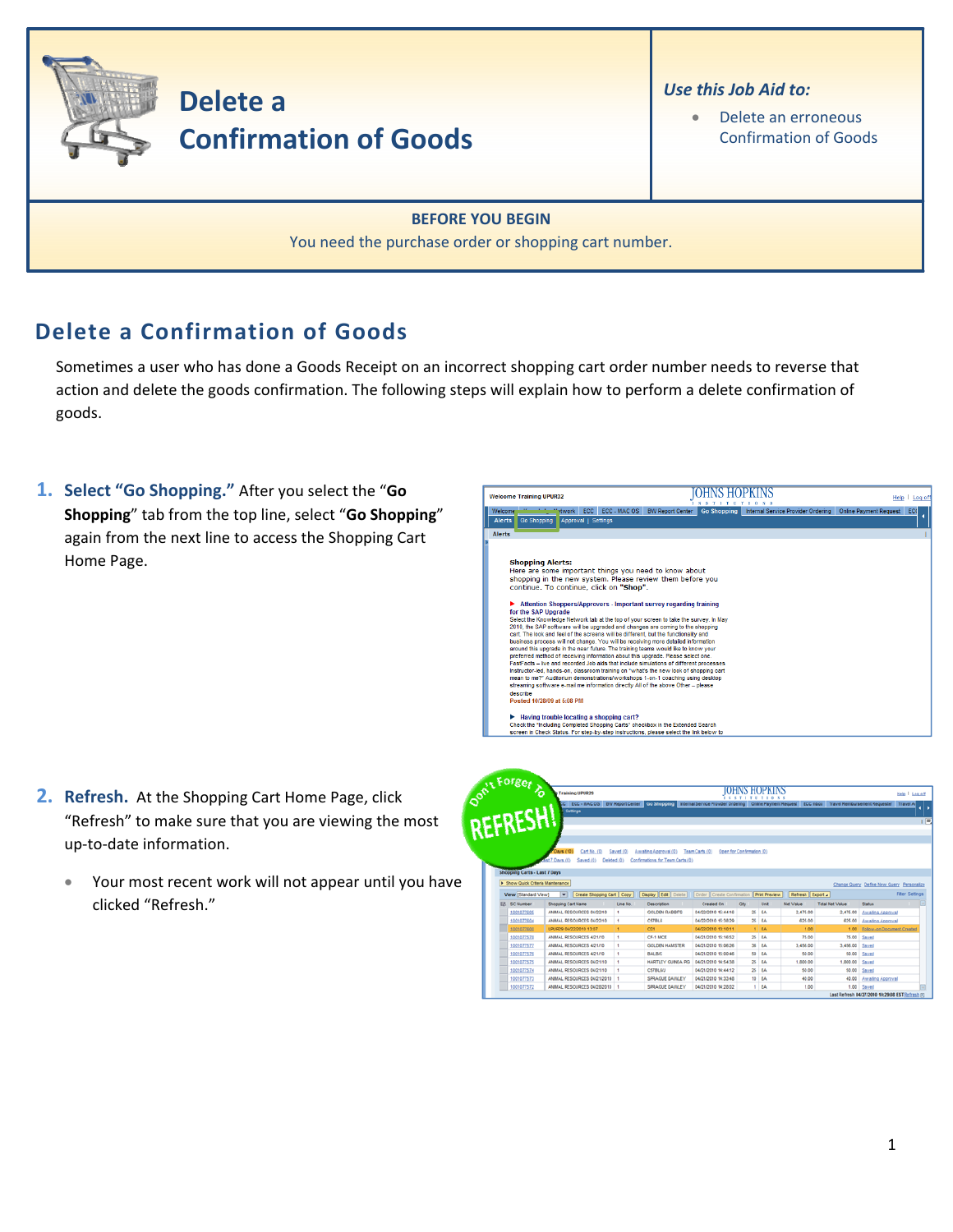

## **Delete a Confirmation of Goods**

Sometimes a user who has done a Goods Receipt on an incorrect shopping cart order number needs to reverse that action and delete the goods confirmation. The following steps will explain how to perform a delete confirmation of goods.

**1. Select "Go Shopping."** After you select the "**Go Shopping**" tab from the top line, select "**Go Shopping**" again from the next line to access the Shopping Cart Home Page.



- **2. Refresh.** At the Shopping Cart Home Page, click "Refresh" to make sure that you are viewing the most up‐to‐date information.
	- Your most recent work will not appear until you have clicked "Refresh."

| on't Forget to                    | <b>Training UPUR29</b>                      |              |                                                                                                                                                          |                           |                           | Help   Log off       |                  |                        |                                           |                       |
|-----------------------------------|---------------------------------------------|--------------|----------------------------------------------------------------------------------------------------------------------------------------------------------|---------------------------|---------------------------|----------------------|------------------|------------------------|-------------------------------------------|-----------------------|
| REFRESH                           | Settings                                    |              | CC ECC - MAC OS BW Report Center Co Shopping Internal Service Provider Ordering Online Payment Request ECC Inbox Travel Reimbursement Requester Travel A |                           |                           |                      |                  |                        |                                           |                       |
|                                   |                                             |              |                                                                                                                                                          |                           |                           |                      |                  |                        |                                           |                       |
|                                   |                                             |              |                                                                                                                                                          |                           |                           |                      |                  |                        |                                           |                       |
|                                   | Cart No. (0)<br>Days (10)                   | Saved (0)    | Awaiting Approval (0)                                                                                                                                    | Team Carts (0)            | Open for Confirmation (0) |                      |                  |                        |                                           |                       |
|                                   | <b>Ast 7 Days (0)</b><br>Saved (0)          | Deleted (0)  | Confirmations for Team Carts (0)                                                                                                                         |                           |                           |                      |                  |                        |                                           |                       |
|                                   |                                             |              |                                                                                                                                                          |                           |                           |                      |                  |                        |                                           |                       |
|                                   |                                             |              |                                                                                                                                                          |                           |                           |                      |                  |                        |                                           |                       |
| Shopping Carts - Last 7 Days      |                                             |              |                                                                                                                                                          |                           |                           |                      |                  |                        |                                           |                       |
| F Show Quick Criteria Maintenance |                                             |              |                                                                                                                                                          |                           |                           |                      |                  |                        | Change Query Define New Query Personalize |                       |
| View [Standard View]              | Create Shopping Cart Copy<br>$\overline{ }$ |              | <b>Display Edit   Delete</b>                                                                                                                             | Order Create Confirmation |                           | <b>Print Preview</b> | Refresh Export . |                        |                                           |                       |
| <b>ER</b> SC Number               | Shopping Carl Name                          | Line No.     | Description                                                                                                                                              | Created On                | Otv                       | Unit                 | <b>Net Value</b> | <b>Total Net Value</b> | <b>Status</b>                             |                       |
| 1001077605                        | ANIMAL RESOURCES 04/22/10                   | ٠            | <b>GOLDEN RABBITS</b>                                                                                                                                    | 04/22/2010 15:44:16       |                           | $25$ $BA$            | 2.475.00         | 2,475.00               | Awalting Approval                         |                       |
| 1001077604                        | ANNAL RESOURCES 04/22/10                    | ٠            | <b>CS7BL6</b>                                                                                                                                            | 04/22/2010 15:38:29       |                           | $25$ $8A$            | 625.00           |                        | 625.00 Awaiting Approval                  |                       |
| 1001077600                        | UPUR29 04/22/2010 13:07                     |              | CD1                                                                                                                                                      | 04/22/2010 13:10:11       |                           | 1.5A                 | 1.00             |                        | 1.00 Eplow-on Document Created            |                       |
| 1001077578                        | ANMAL RESOURCES 4/21/10                     | $\mathbf{1}$ | CF-1 MICE                                                                                                                                                | 04/21/2010 15:16:52       |                           | 25 EA                | 75.00            |                        | 75.00 Sayed                               |                       |
| 1001077577                        | ANMAL RESOURCES 4/21/10                     |              | <b>GOLDEN HAMSTER</b>                                                                                                                                    | 04/21/2010 15:08:26       |                           | 36 EA                | 3.456.00         | 3,456.00 Saved         |                                           |                       |
| 1001077576                        | ANMAL RESOURCES 4/21/10                     |              | <b>BALBIC</b>                                                                                                                                            | 04/21/2010 15:00:46       | 50                        | EA                   | 50.00            |                        | 50.00 Saved                               |                       |
| 1001077575                        | ANMAL RESOURCES 04/21/10                    |              | <b><i>HARTLEY GUNEA PIG</i></b>                                                                                                                          | 04/21/2010 14:54:38       |                           | 25 EA                | 1,800.00         | 1,000.00               | Saved                                     |                       |
| 1001077574                        | ANMAL RESOURCES 04/21/10                    |              | <b>CS7BL6/J</b>                                                                                                                                          | 04/21/2010 14:44:12       |                           | $25$ EA              | 50.00            |                        | 50.00 Saved                               |                       |
| 1001077573                        | ANMAL RESOURCES 04/21/2010   1              |              | SPRAGUE DAWLEY                                                                                                                                           | 04/21/2010 14:33:48       |                           | 10 EA                | 40.00            |                        | 40.00 Awaiting Approval                   | <b>Fiter Settings</b> |

1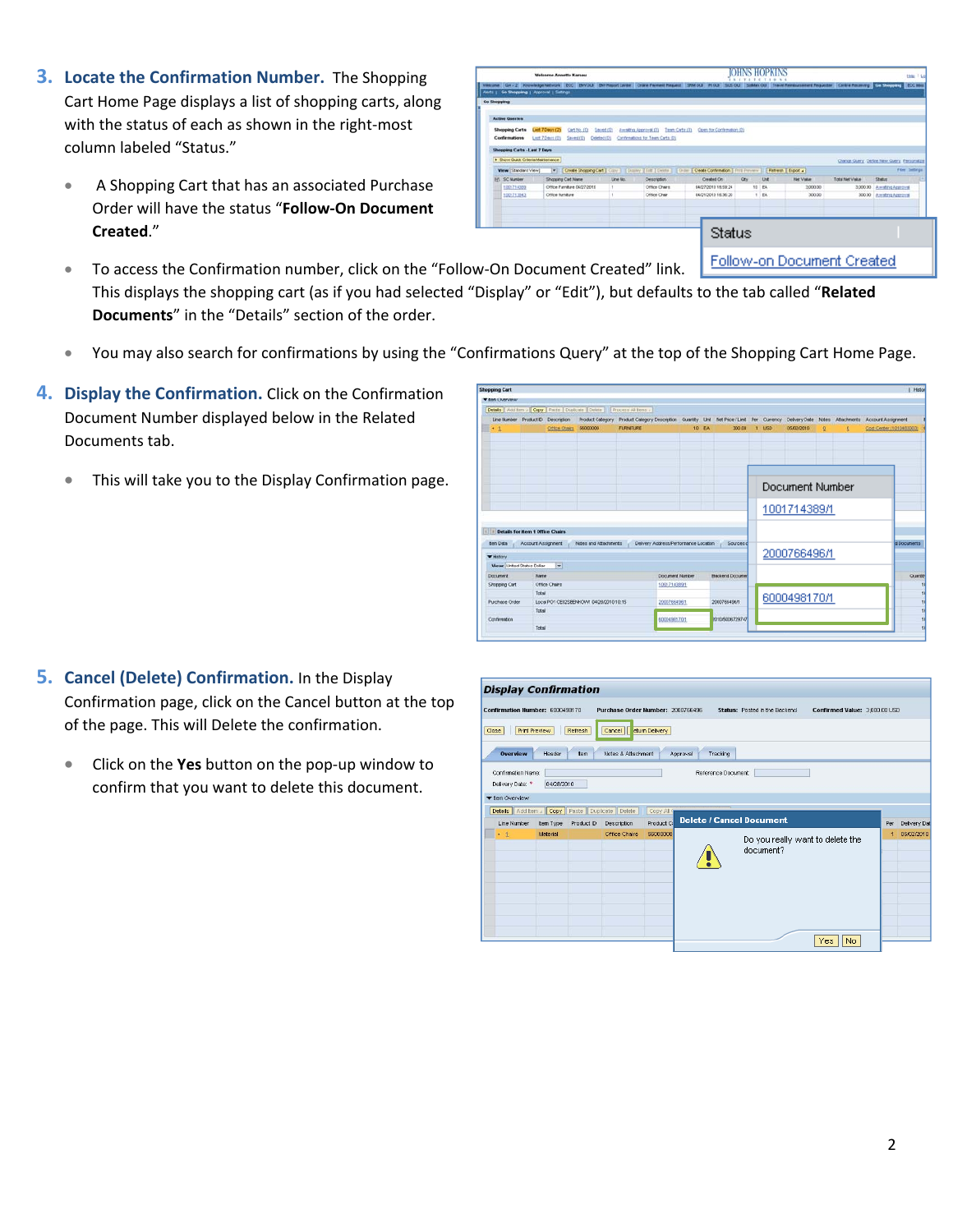- **3. Locate the Confirmation Number.** The Shopping Cart Home Page displays a list of shopping carts, along with the status of each as shown in the right-most column labeled "Status."
	- A Shopping Cart that has an associated Purchase Order will have the status "**Follow‐On Document Created**."

|                                                                                                                                                  |                                |                        | <b>Welcome Annette Kamau</b> |                             |          |                                                                                                                | Hele Title                |      |                          |                                                                                           |                 |                                             |  |
|--------------------------------------------------------------------------------------------------------------------------------------------------|--------------------------------|------------------------|------------------------------|-----------------------------|----------|----------------------------------------------------------------------------------------------------------------|---------------------------|------|--------------------------|-------------------------------------------------------------------------------------------|-----------------|---------------------------------------------|--|
| Welcone GA .: 2 Newwiedge Network ECC BWOLS BWReport Center Crane Fayeard Request SRM OLS   ROLS  <br>Alerta : Go Shopping : Approval : Sattings |                                |                        |                              |                             |          |                                                                                                                |                           |      | <b><i>SSYSSSTERS</i></b> | SUS CUI Sisten CUI Travel Removasement Requester Central Receiving CC Minipulary ECC Miss |                 |                                             |  |
|                                                                                                                                                  |                                |                        |                              |                             |          |                                                                                                                |                           |      |                          |                                                                                           |                 |                                             |  |
| Go Shopping                                                                                                                                      |                                |                        |                              |                             |          |                                                                                                                |                           |      |                          |                                                                                           |                 |                                             |  |
|                                                                                                                                                  | <b>Active Queries</b>          |                        |                              |                             |          |                                                                                                                |                           |      |                          |                                                                                           |                 |                                             |  |
|                                                                                                                                                  | <b>Shopping Carts</b>          | <b>Cast 7 Days (2)</b> |                              | Cart No. (0)<br>Saved (0)   |          | Amatrin Approval (0)<br>Texas Carty (II)                                                                       | Comh for Conferration (0) |      |                          |                                                                                           |                 |                                             |  |
|                                                                                                                                                  | Confernations                  | Last 7 Days (D)        |                              | Saved (0)<br>Celeted (D)    |          | Contrestons for Team Carts (D)                                                                                 |                           |      |                          |                                                                                           |                 |                                             |  |
|                                                                                                                                                  | Shopping Carts - Last 7 Days   |                        |                              |                             |          |                                                                                                                |                           |      |                          |                                                                                           |                 |                                             |  |
|                                                                                                                                                  | > Show Outs Orberts Mantenance |                        |                              |                             |          |                                                                                                                |                           |      |                          |                                                                                           |                 | Change Guery, Detine New Guery, Paragraitza |  |
|                                                                                                                                                  | Wew [Standard View]            |                        |                              |                             |          | V Creste Shopping Cart   Copy       Dozavy   Edit   Debts       Chille     Creste Confirmation   Fritt Preview |                           |      |                          | Retreat Espot 4                                                                           |                 | Fiber Settings                              |  |
|                                                                                                                                                  | <b>PC SC Number</b>            |                        | Shopping Cart Name           |                             | Line No. | Description:                                                                                                   | Created On                | Otv. | <b>Link</b>              | <b>Rief Value</b>                                                                         | Total Net Value | Shelt II                                    |  |
|                                                                                                                                                  | 1001714300                     |                        |                              | Ottice Furniture 04/27/2010 |          | Office Charg                                                                                                   | 04/27/2010 18:59:24       |      | 10 FA                    | 3,000.00                                                                                  |                 | 3,000.00 Amaling Approval                   |  |
|                                                                                                                                                  | 1001713043                     |                        | Office furniture             |                             |          | Office Chair                                                                                                   | 04/21/2010 16:30:20       |      | 1 EA                     | 300.00                                                                                    |                 | 300.00 Awaling Approval                     |  |
|                                                                                                                                                  |                                |                        |                              |                             |          |                                                                                                                |                           |      |                          |                                                                                           |                 |                                             |  |
|                                                                                                                                                  |                                |                        |                              |                             |          |                                                                                                                |                           |      |                          |                                                                                           |                 |                                             |  |
|                                                                                                                                                  |                                |                        |                              |                             |          |                                                                                                                |                           |      |                          |                                                                                           |                 |                                             |  |
|                                                                                                                                                  |                                |                        |                              |                             |          |                                                                                                                | Status                    |      |                          |                                                                                           |                 |                                             |  |
|                                                                                                                                                  |                                |                        |                              |                             |          |                                                                                                                |                           |      |                          |                                                                                           |                 |                                             |  |
|                                                                                                                                                  |                                |                        |                              |                             |          |                                                                                                                |                           |      |                          |                                                                                           |                 |                                             |  |
|                                                                                                                                                  |                                |                        |                              |                             |          |                                                                                                                |                           |      |                          | Eallers an Dearmard Constant                                                              |                 |                                             |  |

- To access the Confirmation number, click on the "Follow-On Document Created" link. Follow-on Document Created This displays the shopping cart (as if you had selected "Display" or "Edit"), but defaults to the tab called "**Related Documents**" in the "Details" section of the order.
- You may also search for confirmations by using the "Confirmations Query" at the top of the Shopping Cart Home Page.
- **4. Display the Confirmation.** Click on the Confirmation Document Number displayed below in the Related Documents tab.
	- This will take you to the Display Confirmation page.

| <b>V sen Uvervew</b>               |                                  |                                         |                                                         |                                                                                                                                           |              |                          |                 |      |              |                |   |                          |                 |
|------------------------------------|----------------------------------|-----------------------------------------|---------------------------------------------------------|-------------------------------------------------------------------------------------------------------------------------------------------|--------------|--------------------------|-----------------|------|--------------|----------------|---|--------------------------|-----------------|
| Details   Addition                 |                                  |                                         | Copy   Parte   Duplicate   Delete   5 Process Al fans / |                                                                                                                                           |              |                          |                 |      |              |                |   |                          |                 |
| Line Number Product D Description  |                                  |                                         |                                                         | Product Category Product Category Description Cuantly Unit Net Price /Limit Per Cumency Delvery Date Notes Attachments Account Assignment |              |                          |                 |      |              |                |   |                          |                 |
| $+1$                               |                                  | Office Otalca                           | 50000000                                                | <b>FURNITURE</b>                                                                                                                          | 10 EA        | 300.00                   | ×               | LISD | 05/02/2010   | $\overline{Q}$ | Q | Cost Center (1010403003) |                 |
|                                    |                                  |                                         |                                                         |                                                                                                                                           |              |                          | Document Number |      |              |                |   |                          |                 |
|                                    |                                  |                                         |                                                         |                                                                                                                                           |              |                          |                 |      |              |                |   |                          |                 |
|                                    |                                  |                                         |                                                         |                                                                                                                                           |              |                          |                 |      | 1001714389/1 |                |   |                          |                 |
|                                    | Details for item 1 Office Chairs |                                         |                                                         |                                                                                                                                           |              |                          |                 |      |              |                |   |                          |                 |
| <b>Bern Data</b><br><b>WHitley</b> | Account Assignment               |                                         | Notes and Attachments                                   | Delivery Address/Performance Location                                                                                                     |              | Sources of               |                 |      | 2000766496/1 |                |   |                          | d Documents     |
| <b>Views Linked States Dollar</b>  |                                  | ल                                       |                                                         |                                                                                                                                           |              |                          |                 |      |              |                |   |                          |                 |
| Document                           | Name                             |                                         |                                                         | <b>Document Number</b>                                                                                                                    |              | <b>Backered Document</b> |                 |      |              |                |   |                          | <b>Quantity</b> |
| Shopping Cart                      | Office Chart                     |                                         |                                                         | 5005714389/                                                                                                                               |              |                          |                 |      |              |                |   |                          |                 |
| <b>Purchase Order</b>              | Total                            | Local PO1 CE02SBENKOW1 04/28/2010 10:15 | 2000788496/1                                            |                                                                                                                                           | 2000766496/1 |                          | 6000498170/1    |      |              |                |   |                          |                 |
|                                    | Total                            |                                         |                                                         |                                                                                                                                           |              |                          |                 |      |              |                |   |                          |                 |
| Conferention                       |                                  |                                         |                                                         | 6000498170/1                                                                                                                              |              | 010/5006729747           |                 |      |              |                |   |                          |                 |

- **5. Cancel (Delete) Confirmation.** In the Display Confirmation page, click on the Cancel button at the top of the page. This will Delete the confirmation.
	- Click on the **Yes** button on the pop‐up window to confirm that you want to delete this document.

| <b>Display Confirmation</b>                                |                      |            |                                   |            |                                 |                                               |                               |     |             |
|------------------------------------------------------------|----------------------|------------|-----------------------------------|------------|---------------------------------|-----------------------------------------------|-------------------------------|-----|-------------|
| Confirmation Number: 6000498170                            |                      |            | Purchase Order Number: 2000766496 |            |                                 | Status: Posted in the Backend                 | Confirmed Value: 3,000.00 USD |     |             |
| Close                                                      | <b>Print Preview</b> | Refresh    | Cancel       eturn Delivery       |            |                                 |                                               |                               |     |             |
| <b>Overview</b>                                            | Header               | Item       | Notes & Attachment                |            | Tracking<br>Approval            |                                               |                               |     |             |
| Confirmation Name:<br>Delivery Date: *                     | 04/28/2010           |            |                                   |            | Reference Document:             |                                               |                               |     |             |
| ▼ Item Overview                                            |                      |            |                                   |            |                                 |                                               |                               |     |             |
| <b>Details</b> Add Item <b>Copy</b> Paste Duplicate Delete |                      |            |                                   | Copy All Q |                                 |                                               |                               |     |             |
| Line Number                                                | Item Type            | Product ID | Description                       | Product Co | <b>Delete / Cancel Document</b> |                                               |                               | Per | Delivery Da |
| $+1$                                                       | Material             |            | Office Chairs                     | 56000000   |                                 | Do you really want to delete the<br>document? |                               | и   | 05/02/2010  |
|                                                            |                      |            |                                   |            |                                 |                                               | No.<br>Yes                    |     |             |